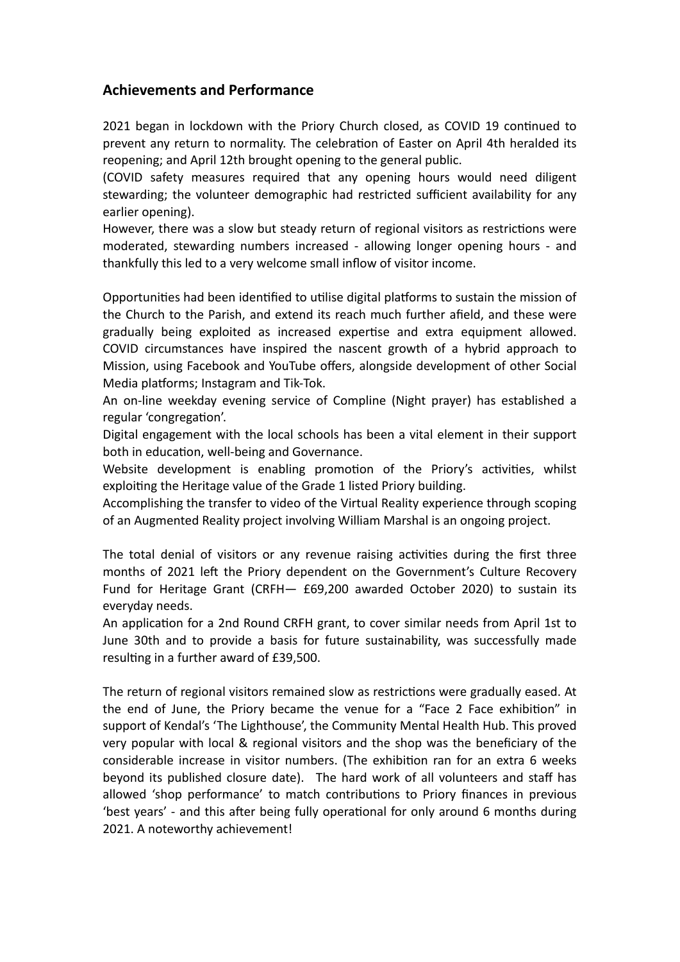## **Achievements and Performance**

2021 began in lockdown with the Priory Church closed, as COVID 19 continued to prevent any return to normality. The celebration of Easter on April 4th heralded its reopening; and April 12th brought opening to the general public.

(COVID safety measures required that any opening hours would need diligent stewarding; the volunteer demographic had restricted sufficient availability for any earlier opening).

However, there was a slow but steady return of regional visitors as restrictions were moderated, stewarding numbers increased - allowing longer opening hours - and thankfully this led to a very welcome small inflow of visitor income.

Opportunities had been identified to utilise digital platforms to sustain the mission of the Church to the Parish, and extend its reach much further afield, and these were gradually being exploited as increased expertise and extra equipment allowed. COVID circumstances have inspired the nascent growth of a hybrid approach to Mission, using Facebook and YouTube offers, alongside development of other Social Media platforms; Instagram and Tik-Tok.

An on-line weekday evening service of Compline (Night prayer) has established a regular 'congregation'.

Digital engagement with the local schools has been a vital element in their support both in education, well-being and Governance.

Website development is enabling promotion of the Priory's activities, whilst exploiting the Heritage value of the Grade 1 listed Priory building.

Accomplishing the transfer to video of the Virtual Reality experience through scoping of an Augmented Reality project involving William Marshal is an ongoing project.

The total denial of visitors or any revenue raising activities during the first three months of 2021 left the Priory dependent on the Government's Culture Recovery Fund for Heritage Grant (CRFH— £69,200 awarded October 2020) to sustain its everyday needs.

An application for a 2nd Round CRFH grant, to cover similar needs from April 1st to June 30th and to provide a basis for future sustainability, was successfully made resulting in a further award of £39,500.

The return of regional visitors remained slow as restrictions were gradually eased. At the end of June, the Priory became the venue for a "Face 2 Face exhibition" in support of Kendal's 'The Lighthouse', the Community Mental Health Hub. This proved very popular with local & regional visitors and the shop was the beneficiary of the considerable increase in visitor numbers. (The exhibition ran for an extra 6 weeks beyond its published closure date). The hard work of all volunteers and staff has allowed 'shop performance' to match contributions to Priory finances in previous 'best years' - and this after being fully operational for only around 6 months during 2021. A noteworthy achievement!